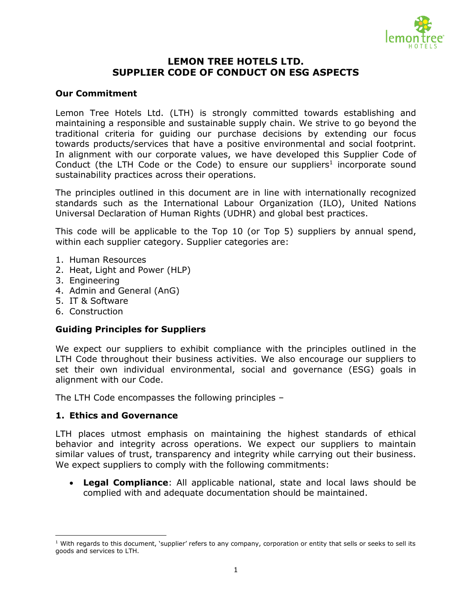

## **LEMON TREE HOTELS LTD. SUPPLIER CODE OF CONDUCT ON ESG ASPECTS**

#### **Our Commitment**

Lemon Tree Hotels Ltd. (LTH) is strongly committed towards establishing and maintaining a responsible and sustainable supply chain. We strive to go beyond the traditional criteria for guiding our purchase decisions by extending our focus towards products/services that have a positive environmental and social footprint. In alignment with our corporate values, we have developed this Supplier Code of Conduct (the LTH Code or the Code) to ensure our suppliers<sup>1</sup> incorporate sound sustainability practices across their operations.

The principles outlined in this document are in line with internationally recognized standards such as the International Labour Organization (ILO), United Nations Universal Declaration of Human Rights (UDHR) and global best practices.

This code will be applicable to the Top 10 (or Top 5) suppliers by annual spend, within each supplier category. Supplier categories are:

- 1. Human Resources
- 2. Heat, Light and Power (HLP)
- 3. Engineering
- 4. Admin and General (AnG)
- 5. IT & Software
- 6. Construction

 $\overline{\phantom{a}}$ 

#### **Guiding Principles for Suppliers**

We expect our suppliers to exhibit compliance with the principles outlined in the LTH Code throughout their business activities. We also encourage our suppliers to set their own individual environmental, social and governance (ESG) goals in alignment with our Code.

The LTH Code encompasses the following principles –

#### **1. Ethics and Governance**

LTH places utmost emphasis on maintaining the highest standards of ethical behavior and integrity across operations. We expect our suppliers to maintain similar values of trust, transparency and integrity while carrying out their business. We expect suppliers to comply with the following commitments:

 **Legal Compliance**: All applicable national, state and local laws should be complied with and adequate documentation should be maintained.

 $1$  With regards to this document, 'supplier' refers to any company, corporation or entity that sells or seeks to sell its goods and services to LTH.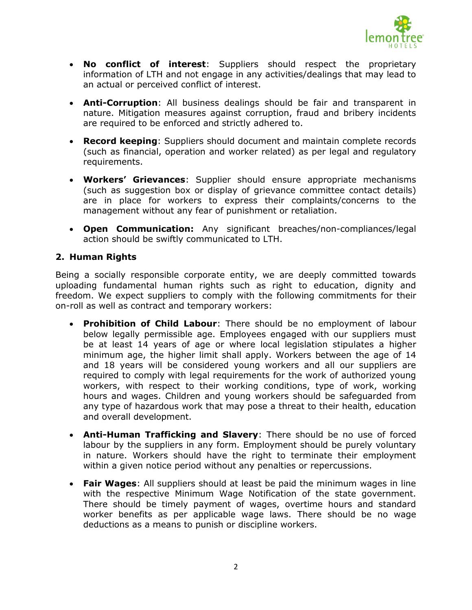

- **No conflict of interest**: Suppliers should respect the proprietary information of LTH and not engage in any activities/dealings that may lead to an actual or perceived conflict of interest.
- **Anti-Corruption**: All business dealings should be fair and transparent in nature. Mitigation measures against corruption, fraud and bribery incidents are required to be enforced and strictly adhered to.
- **Record keeping**: Suppliers should document and maintain complete records (such as financial, operation and worker related) as per legal and regulatory requirements.
- **Workers' Grievances**: Supplier should ensure appropriate mechanisms (such as suggestion box or display of grievance committee contact details) are in place for workers to express their complaints/concerns to the management without any fear of punishment or retaliation.
- **Open Communication:** Any significant breaches/non-compliances/legal action should be swiftly communicated to LTH.

## **2. Human Rights**

Being a socially responsible corporate entity, we are deeply committed towards uploading fundamental human rights such as right to education, dignity and freedom. We expect suppliers to comply with the following commitments for their on-roll as well as contract and temporary workers:

- **Prohibition of Child Labour**: There should be no employment of labour below legally permissible age. Employees engaged with our suppliers must be at least 14 years of age or where local legislation stipulates a higher minimum age, the higher limit shall apply. Workers between the age of 14 and 18 years will be considered young workers and all our suppliers are required to comply with legal requirements for the work of authorized young workers, with respect to their working conditions, type of work, working hours and wages. Children and young workers should be safeguarded from any type of hazardous work that may pose a threat to their health, education and overall development.
- **Anti-Human Trafficking and Slavery**: There should be no use of forced labour by the suppliers in any form. Employment should be purely voluntary in nature. Workers should have the right to terminate their employment within a given notice period without any penalties or repercussions.
- **Fair Wages**: All suppliers should at least be paid the minimum wages in line with the respective Minimum Wage Notification of the state government. There should be timely payment of wages, overtime hours and standard worker benefits as per applicable wage laws. There should be no wage deductions as a means to punish or discipline workers.